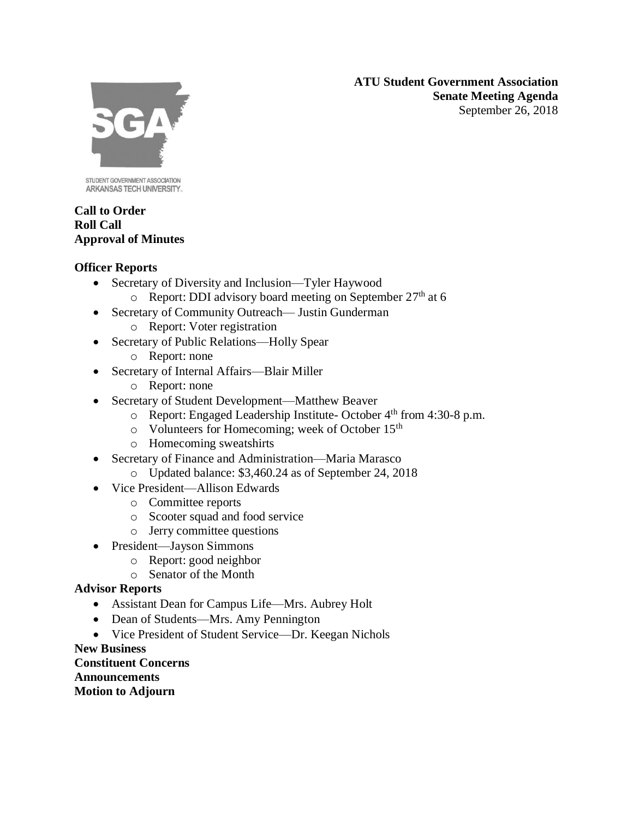**ATU Student Government Association Senate Meeting Agenda** September 26, 2018



STUDENT GOVERNMENT ASSOCIATION ARKANSAS TECH UNIVERSITY.

### **Call to Order Roll Call Approval of Minutes**

## **Officer Reports**

- Secretary of Diversity and Inclusion—Tyler Haywood
	- $\circ$  Report: DDI advisory board meeting on September 27<sup>th</sup> at 6
- Secretary of Community Outreach— Justin Gunderman
	- o Report: Voter registration
- Secretary of Public Relations—Holly Spear
	- o Report: none
- Secretary of Internal Affairs—Blair Miller
	- o Report: none
- Secretary of Student Development—Matthew Beaver
	- o Report: Engaged Leadership Institute- October 4th from 4:30-8 p.m.
	- o Volunteers for Homecoming; week of October 15th
	- o Homecoming sweatshirts
- Secretary of Finance and Administration—Maria Marasco
	- o Updated balance: \$3,460.24 as of September 24, 2018
- Vice President—Allison Edwards
	- o Committee reports
	- o Scooter squad and food service
	- o Jerry committee questions
- President—Jayson Simmons
	- o Report: good neighbor
	- o Senator of the Month

# **Advisor Reports**

- Assistant Dean for Campus Life—Mrs. Aubrey Holt
- Dean of Students—Mrs. Amy Pennington
- Vice President of Student Service—Dr. Keegan Nichols

### **New Business**

**Constituent Concerns Announcements Motion to Adjourn**